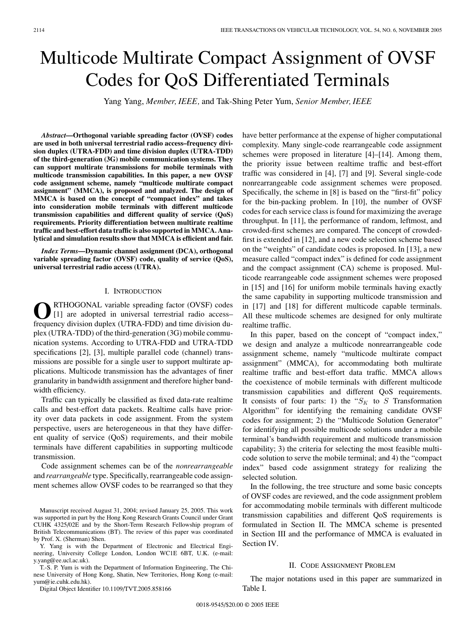# Multicode Multirate Compact Assignment of OVSF Codes for QoS Differentiated Terminals

Yang Yang, *Member, IEEE,* and Tak-Shing Peter Yum, *Senior Member, IEEE*

*Abstract***—Orthogonal variable spreading factor (OVSF) codes are used in both universal terrestrial radio access–frequency division duplex (UTRA-FDD) and time division duplex (UTRA-TDD) of the third-generation (3G) mobile communication systems. They can support multirate transmissions for mobile terminals with multicode transmission capabilities. In this paper, a new OVSF code assignment scheme, namely "multicode multirate compact assignment" (MMCA), is proposed and analyzed. The design of MMCA is based on the concept of "compact index" and takes into consideration mobile terminals with different multicode transmission capabilities and different quality of service (QoS) requirements. Priority differentiation between multirate realtime traffic and best-effort data traffic is also supported in MMCA. Analytical and simulation results show that MMCA is efficient and fair.**

*Index Terms***—Dynamic channel assignment (DCA), orthogonal variable spreading factor (OVSF) code, quality of service (QoS), universal terrestrial radio access (UTRA).**

## I. INTRODUCTION

RTHOGONAL variable spreading factor (OVSF) codes [1] are adopted in universal terrestrial radio access– frequency division duplex (UTRA-FDD) and time division duplex (UTRA-TDD) of the third-generation (3G) mobile communication systems. According to UTRA-FDD and UTRA-TDD specifications [2], [3], multiple parallel code (channel) transmissions are possible for a single user to support multirate applications. Multicode transmission has the advantages of finer granularity in bandwidth assignment and therefore higher bandwidth efficiency.

Traffic can typically be classified as fixed data-rate realtime calls and best-effort data packets. Realtime calls have priority over data packets in code assignment. From the system perspective, users are heterogeneous in that they have different quality of service (QoS) requirements, and their mobile terminals have different capabilities in supporting multicode transmission.

Code assignment schemes can be of the *nonrearrangeable* and *rearrangeable* type. Specifically, rearrangeable code assignment schemes allow OVSF codes to be rearranged so that they

Manuscript received August 31, 2004; revised January 25, 2005. This work was supported in part by the Hong Kong Research Grants Council under Grant CUHK 4325/02E and by the Short-Term Research Fellowship program of British Telecommunications (BT). The review of this paper was coordinated by Prof. X. (Sherman) Shen.

Y. Yang is with the Department of Electronic and Electrical Engineering, University College London, London WC1E 6BT, U.K. (e-mail: y.yang@ee.ucl.ac.uk).

T.-S. P. Yum is with the Department of Information Engineering, The Chinese University of Hong Kong, Shatin, New Territories, Hong Kong (e-mail: yum@ie.cuhk.edu.hk).

Digital Object Identifier 10.1109/TVT.2005.858166

have better performance at the expense of higher computational complexity. Many single-code rearrangeable code assignment schemes were proposed in literature [4]–[14]. Among them, the priority issue between realtime traffic and best-effort traffic was considered in [4], [7] and [9]. Several single-code nonrearrangeable code assignment schemes were proposed. Specifically, the scheme in [8] is based on the "first-fit" policy for the bin-packing problem. In [10], the number of OVSF codes for each service class is found for maximizing the average throughput. In [11], the performance of random, leftmost, and crowded-first schemes are compared. The concept of crowdedfirst is extended in [12], and a new code selection scheme based on the "weights" of candidate codes is proposed. In [13], a new measure called "compact index" is defined for code assignment and the compact assignment (CA) scheme is proposed. Multicode rearrangeable code assignment schemes were proposed in [15] and [16] for uniform mobile terminals having exactly the same capability in supporting multicode transmission and in [17] and [18] for different multicode capable terminals. All these multicode schemes are designed for only multirate realtime traffic.

In this paper, based on the concept of "compact index," we design and analyze a multicode nonrearrangeable code assignment scheme, namely "multicode multirate compact assignment" (MMCA), for accommodating both multirate realtime traffic and best-effort data traffic. MMCA allows the coexistence of mobile terminals with different multicode transmission capabilities and different QoS requirements. It consists of four parts: 1) the " $S_K$  to S Transformation Algorithm" for identifying the remaining candidate OVSF codes for assignment; 2) the "Multicode Solution Generator" for identifying all possible multicode solutions under a mobile terminal's bandwidth requirement and multicode transmission capability; 3) the criteria for selecting the most feasible multicode solution to serve the mobile terminal; and 4) the "compact index" based code assignment strategy for realizing the selected solution.

In the following, the tree structure and some basic concepts of OVSF codes are reviewed, and the code assignment problem for accommodating mobile terminals with different multicode transmission capabilities and different QoS requirements is formulated in Section II. The MMCA scheme is presented in Section III and the performance of MMCA is evaluated in Section IV.

## II. CODE ASSIGNMENT PROBLEM

The major notations used in this paper are summarized in Table I.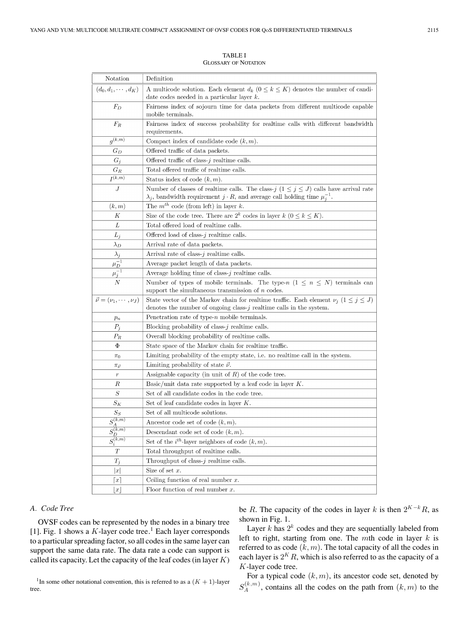TABLE I GLOSSARY OF NOTATION

| Notation                                                     | Definition                                                                                                                                                                                   |  |  |  |  |
|--------------------------------------------------------------|----------------------------------------------------------------------------------------------------------------------------------------------------------------------------------------------|--|--|--|--|
| $(d_0, d_1, \cdots, d_K)$                                    | A multicode solution. Each element $d_k$ $(0 \leq k \leq K)$ denotes the number of candi-                                                                                                    |  |  |  |  |
|                                                              | date codes needed in a particular layer $k$ .                                                                                                                                                |  |  |  |  |
| $F_D$                                                        | Fairness index of sojourn time for data packets from different multicode capable                                                                                                             |  |  |  |  |
|                                                              | mobile terminals.                                                                                                                                                                            |  |  |  |  |
| $F_R$                                                        | Fairness index of success probability for realtime calls with different bandwidth                                                                                                            |  |  |  |  |
| $g^{(\overline{k,m})}$                                       | requirements.                                                                                                                                                                                |  |  |  |  |
|                                                              | Compact index of candidate code $(k, m)$ .                                                                                                                                                   |  |  |  |  |
| $G_D$                                                        | Offered traffic of data packets.                                                                                                                                                             |  |  |  |  |
| $G_j$                                                        | Offered traffic of class- $j$ realtime calls.                                                                                                                                                |  |  |  |  |
| $G_R$                                                        | Total offered traffic of realtime calls.                                                                                                                                                     |  |  |  |  |
| $\overline{I^{(k,m)}}$                                       | Status index of code $(k, m)$ .                                                                                                                                                              |  |  |  |  |
| $\cal J$                                                     | Number of classes of realtime calls. The class-j $(1 \le j \le J)$ calls have arrival rate<br>$\lambda_j$ , bandwidth requirement $j \cdot R$ , and average call holding time $\mu_j^{-1}$ . |  |  |  |  |
| (k,m)                                                        | The $m^{th}$ code (from left) in layer k.                                                                                                                                                    |  |  |  |  |
| К                                                            | Size of the code tree. There are $2^k$ codes in layer $k$ $(0 \le k \le K)$ .                                                                                                                |  |  |  |  |
| L                                                            | Total offered load of realtime calls.                                                                                                                                                        |  |  |  |  |
| $L_j$                                                        | Offered load of class- $j$ realtime calls.                                                                                                                                                   |  |  |  |  |
| $\lambda_D$                                                  | Arrival rate of data packets.                                                                                                                                                                |  |  |  |  |
| $\lambda_j$                                                  | Arrival rate of class- $j$ realtime calls.                                                                                                                                                   |  |  |  |  |
| $\mu_D^{-1}$                                                 | Average packet length of data packets.                                                                                                                                                       |  |  |  |  |
| $\overline{\mu_j^{-1}}$                                      | Average holding time of class- $j$ realtime calls.                                                                                                                                           |  |  |  |  |
| $_{N}$                                                       | Number of types of mobile terminals. The type-n $(1 \leq n \leq N)$ terminals can                                                                                                            |  |  |  |  |
|                                                              | support the simultaneous transmission of $n$ codes.                                                                                                                                          |  |  |  |  |
| $\vec{\nu} = (\nu_1, \cdots, \nu_J)$                         | State vector of the Markov chain for realtime traffic. Each element $\nu_j$ $(1 \leq j \leq J)$                                                                                              |  |  |  |  |
|                                                              | denotes the number of ongoing class- $j$ realtime calls in the system.                                                                                                                       |  |  |  |  |
| $p_n$                                                        | Penetration rate of type- $n$ mobile terminals.                                                                                                                                              |  |  |  |  |
| $P_j$                                                        | Blocking probability of class- $j$ realtime calls.                                                                                                                                           |  |  |  |  |
| $\scriptstyle P_R$                                           | Overall blocking probability of realtime calls.                                                                                                                                              |  |  |  |  |
| Φ                                                            | State space of the Markov chain for realtime traffic.                                                                                                                                        |  |  |  |  |
| $\pi_0$                                                      | Limiting probability of the empty state, i.e. no realtime call in the system.                                                                                                                |  |  |  |  |
| $\pi_{\vec{\nu}}$                                            | Limiting probability of state $\vec{\nu}$ .                                                                                                                                                  |  |  |  |  |
| $\,r\,$                                                      | Assignable capacity (in unit of $R$ ) of the code tree.                                                                                                                                      |  |  |  |  |
| R                                                            | Basic/unit data rate supported by a leaf code in layer $K$ .                                                                                                                                 |  |  |  |  |
| S                                                            | Set of all candidate codes in the code tree.                                                                                                                                                 |  |  |  |  |
| $S_{K}$                                                      | Set of leaf candidate codes in layer $K$ .                                                                                                                                                   |  |  |  |  |
| $S_S$                                                        | Set of all multicode solutions.                                                                                                                                                              |  |  |  |  |
| $S_A^{(k,m)}$                                                | Ancestor code set of code $(k, m)$ .                                                                                                                                                         |  |  |  |  |
| $\sqrt{k.m}$<br>$S_{\underline{D}}^{\scriptscriptstyle\vee}$ | Descendant code set of code $(k, m)$ .                                                                                                                                                       |  |  |  |  |
| $S_i^{(k,m)}$                                                | Set of the $i^{th}$ -layer neighbors of code $(k, m)$ .                                                                                                                                      |  |  |  |  |
| T                                                            | Total throughput of realtime calls.                                                                                                                                                          |  |  |  |  |
| $T_j$                                                        | Throughput of class- $j$ realtime calls.                                                                                                                                                     |  |  |  |  |
| x                                                            | Size of set $x$ .                                                                                                                                                                            |  |  |  |  |
| $\lvert x \rvert$                                            | Ceiling function of real number $x$ .                                                                                                                                                        |  |  |  |  |
| $\lfloor x \rfloor$                                          | Floor function of real number $x$ .                                                                                                                                                          |  |  |  |  |

## *A. Code Tree*

OVSF codes can be represented by the nodes in a binary tree [1]. Fig. 1 shows a  $K$ -layer code tree.<sup>1</sup> Each layer corresponds to a particular spreading factor, so all codes in the same layer can support the same data rate. The data rate a code can support is called its capacity. Let the capacity of the leaf codes (in layer  $K$ )

<sup>1</sup>In some other notational convention, this is referred to as a  $(K + 1)$ -layer tree.

be R. The capacity of the codes in layer k is then  $2^{K-k}R$ , as shown in Fig. 1.

Layer  $k$  has  $2^k$  codes and they are sequentially labeled from left to right, starting from one. The mth code in layer  $k$  is referred to as code  $(k, m)$ . The total capacity of all the codes in each layer is  $2^K R$ , which is also referred to as the capacity of a K-layer code tree.

For a typical code  $(k, m)$ , its ancestor code set, denoted by  $S_A^{(k,m)}$ , contains all the codes on the path from  $(k,m)$  to the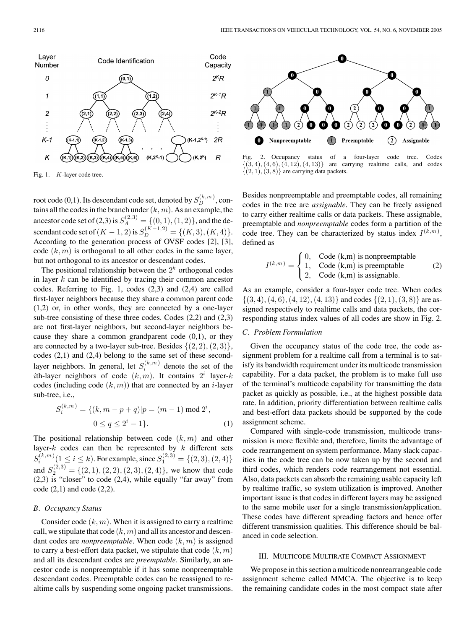

Fig. 1. K-layer code tree.

root code (0,1). Its descendant code set, denoted by  $S_D^{(k,m)}$ , contains all the codes in the branch under  $(k, m)$ . As an example, the ancestor code set of (2,3) is  $S_A^{(2,3)} = \{(0,1),(1,2)\}\text{, and the de-}$ scendant code set of  $(K-1, 2)$  is  $S_D^{(K-1, 2)} = \{(K, 3), (K, 4)\}.$ According to the generation process of OVSF codes [2], [3], code  $(k, m)$  is orthogonal to all other codes in the same layer, but not orthogonal to its ancestor or descendant codes.

The positional relationship between the  $2<sup>k</sup>$  orthogonal codes in layer  $k$  can be identified by tracing their common ancestor codes. Referring to Fig. 1, codes (2,3) and (2,4) are called first-layer neighbors because they share a common parent code (1,2) or, in other words, they are connected by a one-layer sub-tree consisting of these three codes. Codes (2,2) and (2,3) are not first-layer neighbors, but second-layer neighbors because they share a common grandparent code  $(0,1)$ , or they are connected by a two-layer sub-tree. Besides  $\{(2, 2), (2, 3)\},\$ codes (2,1) and (2,4) belong to the same set of these secondlayer neighbors. In general, let  $S_i^{(k,m)}$  denote the set of the ith-layer neighbors of code  $(k, m)$ . It contains  $2^i$  layer-k codes (including code  $(k, m)$ ) that are connected by an *i*-layer sub-tree, i.e.,

$$
S_i^{(k,m)} = \{(k, m-p+q)|p = (m-1) \bmod 2^i,
$$
  

$$
0 \le q \le 2^i - 1\}.
$$
 (1)

The positional relationship between code  $(k,m)$  and other layer- $k$  codes can then be represented by  $k$  different sets  $S_i^{(k,m)}(1 \le i \le k)$ . For example, since  $S_1^{(2,3)} = \{(2,3), (2,4)\}$ and  $S_2^{(2,3)} = \{(2,1), (2,2), (2,3), (2,4)\}\text{, we know that code}$  $(2,3)$  is "closer" to code  $(2,4)$ , while equally "far away" from  $code(2,1)$  and  $code(2,2)$ .

## *B. Occupancy Status*

Consider code  $(k, m)$ . When it is assigned to carry a realtime call, we stipulate that code  $(k, m)$  and all its ancestor and descendant codes are *nonpreemptable*. When code  $(k, m)$  is assigned to carry a best-effort data packet, we stipulate that code  $(k, m)$ and all its descendant codes are *preemptable*. Similarly, an ancestor code is nonpreemptable if it has some nonpreemptable descendant codes. Preemptable codes can be reassigned to realtime calls by suspending some ongoing packet transmissions.



Fig. 2. Occupancy status of a four-layer code tree. Codes  $\{(3, 4), (4, 6), (4, 12), (4, 13)\}$  are carrying realtime calls, and codes are carrying realtime calls, and codes  $\{(2, 1), (3, 8)\}\$ are carrying data packets.

Besides nonpreemptable and preemptable codes, all remaining codes in the tree are *assignable*. They can be freely assigned to carry either realtime calls or data packets. These assignable, preemptable and *nonpreemptable* codes form a partition of the code tree. They can be characterized by status index  $I^{(k,m)}$ , defined as

$$
I^{(k,m)} = \begin{cases} 0, & \text{Code } (\mathbf{k}, \mathbf{m}) \text{ is nonpreemptable} \\ 1, & \text{Code } (\mathbf{k}, \mathbf{m}) \text{ is preemptable} \\ 2, & \text{Code } (\mathbf{k}, \mathbf{m}) \text{ is assignable.} \end{cases} \tag{2}
$$

As an example, consider a four-layer code tree. When codes  $\{(3, 4), (4, 6), (4, 12), (4, 13)\}\$  and codes  $\{(2, 1), (3, 8)\}\$  are assigned respectively to realtime calls and data packets, the corresponding status index values of all codes are show in Fig. 2.

# *C. Problem Formulation*

Given the occupancy status of the code tree, the code assignment problem for a realtime call from a terminal is to satisfy its bandwidth requirement under its multicode transmission capability. For a data packet, the problem is to make full use of the terminal's multicode capability for transmitting the data packet as quickly as possible, i.e., at the highest possible data rate. In addition, priority differentiation between realtime calls and best-effort data packets should be supported by the code assignment scheme.

Compared with single-code transmission, multicode transmission is more flexible and, therefore, limits the advantage of code rearrangement on system performance. Many slack capacities in the code tree can be now taken up by the second and third codes, which renders code rearrangement not essential. Also, data packets can absorb the remaining usable capacity left by realtime traffic, so system utilization is improved. Another important issue is that codes in different layers may be assigned to the same mobile user for a single transmission/application. These codes have different spreading factors and hence offer different transmission qualities. This difference should be balanced in code selection.

## III. MULTICODE MULTIRATE COMPACT ASSIGNMENT

We propose in this section a multicode nonrearrangeable code assignment scheme called MMCA. The objective is to keep the remaining candidate codes in the most compact state after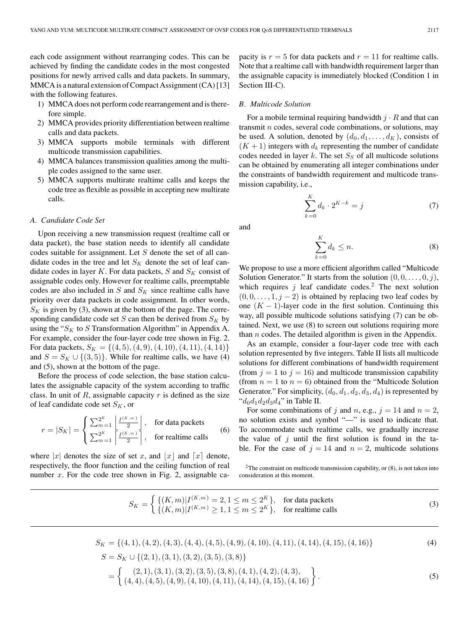each code assignment without rearranging codes. This can be achieved by finding the candidate codes in the most congested positions for newly arrived calls and data packets. In summary, MMCA is a natural extension of Compact Assignment (CA) [13] with the following features.

- 1) MMCA does not perform code rearrangement and is therefore simple.
- 2) MMCA provides priority differentiation between realtime calls and data packets.
- 3) MMCA supports mobile terminals with different multicode transmission capabilities.
- 4) MMCA balances transmission qualities among the multiple codes assigned to the same user.
- 5) MMCA supports multirate realtime calls and keeps the code tree as flexible as possible in accepting new multirate calls.

## *A. Candidate Code Set*

Upon receiving a new transmission request (realtime call or data packet), the base station needs to identify all candidate codes suitable for assignment. Let  $S$  denote the set of all candidate codes in the tree and let  $S_K$  denote the set of leaf candidate codes in layer K. For data packets, S and  $S_K$  consist of assignable codes only. However for realtime calls, preemptable codes are also included in  $S$  and  $S<sub>K</sub>$  since realtime calls have priority over data packets in code assignment. In other words,  $S_K$  is given by (3), shown at the bottom of the page. The corresponding candidate code set  $S$  can then be derived from  $S_K$  by using the " $S_K$  to S Transformation Algorithm" in Appendix A. For example, consider the four-layer code tree shown in Fig. 2. For data packets,  $S_K = \{(4, 5), (4, 9), (4, 10), (4, 11), (4, 14)\}\$ and  $S = S_K \cup \{(3, 5)\}\.$  While for realtime calls, we have (4) and (5), shown at the bottom of the page.

Before the process of code selection, the base station calculates the assignable capacity of the system according to traffic class. In unit of  $R$ , assignable capacity  $r$  is defined as the size of leaf candidate code set  $S_K$ , or

$$
r = |S_K| = \begin{cases} \sum_{m=1}^{2^K} \left| \frac{I^{(K,m)}}{2} \right|, & \text{for data packets} \\ \sum_{m=1}^{2^K} \left| \frac{I^{(K,m)}}{2} \right|, & \text{for relative calls} \end{cases}
$$
(6)

where |x| denotes the size of set x, and |x| and  $\lceil x \rceil$  denote, respectively, the floor function and the ceiling function of real number  $x$ . For the code tree shown in Fig. 2, assignable capacity is  $r = 5$  for data packets and  $r = 11$  for realtime calls. Note that a realtime call with bandwidth requirement larger than the assignable capacity is immediately blocked (Condition 1 in Section III-C).

#### *B. Multicode Solution*

For a mobile terminal requiring bandwidth  $j \cdot R$  and that can transmit  $n$  codes, several code combinations, or solutions, may be used. A solution, denoted by  $(d_0, d_1, \ldots, d_K)$ , consists of  $(K + 1)$  integers with  $d_k$  representing the number of candidate codes needed in layer  $k$ . The set  $S<sub>S</sub>$  of all multicode solutions can be obtained by enumerating all integer combinations under the constraints of bandwidth requirement and multicode transmission capability, i.e.,

$$
\sum_{k=0}^{K} d_k \cdot 2^{K-k} = j \tag{7}
$$

and

$$
\sum_{k=0}^{K} d_k \le n. \tag{8}
$$

We propose to use a more efficient algorithm called "Multicode Solution Generator." It starts from the solution  $(0, 0, \ldots, 0, j)$ , which requires  $j$  leaf candidate codes.<sup>2</sup> The next solution  $(0, 0, \ldots, 1, j - 2)$  is obtained by replacing two leaf codes by one  $(K - 1)$ -layer code in the first solution. Continuing this way, all possible multicode solutions satisfying (7) can be obtained. Next, we use (8) to screen out solutions requiring more than  $n$  codes. The detailed algorithm is given in the Appendix.

As an example, consider a four-layer code tree with each solution represented by five integers. Table II lists all multicode solutions for different combinations of bandwidth requirement (from  $j = 1$  to  $j = 16$ ) and multicode transmission capability (from  $n = 1$  to  $n = 6$ ) obtained from the "Multicode Solution" Generator." For simplicity,  $(d_0, d_1, d_2, d_3, d_4)$  is represented by " $d_0d_1d_2d_3d_4$ " in Table II.

For some combinations of j and n, e.g.,  $j = 14$  and  $n = 2$ , no solution exists and symbol "—" is used to indicate that. To accommodate such realtime calls, we gradually increase the value of  $j$  until the first solution is found in the table. For the case of  $j = 14$  and  $n = 2$ , multicode solutions

 $2$ The constraint on multicode transmission capability, or  $(8)$ , is not taken into consideration at this moment.

$$
S_K = \begin{cases} \{(K,m)|I^{(K,m)} = 2, 1 \le m \le 2^K\}, & \text{for data packets} \\ \{(K,m)|I^{(K,m)} \ge 1, 1 \le m \le 2^K\}, & \text{for relative calls} \end{cases}
$$
(3)

$$
S_K = \{(4, 1), (4, 2), (4, 3), (4, 4), (4, 5), (4, 9), (4, 10), (4, 11), (4, 14), (4, 15), (4, 16)\}\
$$
\n
$$
S = S_K \cup \{(2, 1), (3, 1), (3, 2), (3, 5), (3, 8)\}\
$$
\n
$$
= \left\{ \begin{array}{l} (2, 1), (3, 1), (3, 2), (3, 5), (3, 8), (4, 1), (4, 2), (4, 3), \\ (4, 4), (4, 5), (4, 9), (4, 10), (4, 11), (4, 14), (4, 15), (4, 16) \end{array} \right\}.
$$
\n(5)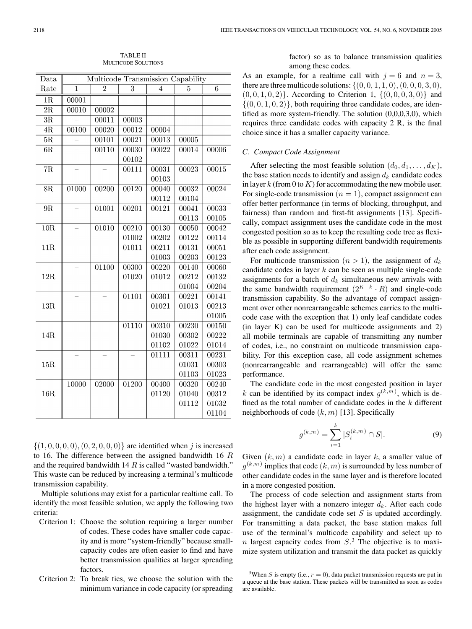| Data                | Multicode Transmission Capability |       |       |       |       |       |  |
|---------------------|-----------------------------------|-------|-------|-------|-------|-------|--|
| Rate                | 1                                 | 2     | 3     | 4     | 5     | 6     |  |
| 1R                  | 00001                             |       |       |       |       |       |  |
| 2R                  | 00010                             | 00002 |       |       |       |       |  |
| 3R                  |                                   | 00011 | 00003 |       |       |       |  |
| 4R                  | 00100                             | 00020 | 00012 | 00004 |       |       |  |
| $\overline{\rm 5R}$ |                                   | 00101 | 00021 | 00013 | 00005 |       |  |
| 6R                  |                                   | 00110 | 00030 | 00022 | 00014 | 00006 |  |
|                     |                                   |       | 00102 |       |       |       |  |
| 7R                  |                                   |       | 00111 | 00031 | 00023 | 00015 |  |
|                     |                                   |       |       | 00103 |       |       |  |
| 8R                  | 01000                             | 00200 | 00120 | 00040 | 00032 | 00024 |  |
|                     |                                   |       |       | 00112 | 00104 |       |  |
| 9R                  |                                   | 01001 | 00201 | 00121 | 00041 | 00033 |  |
|                     |                                   |       |       |       | 00113 | 00105 |  |
| 10R                 |                                   | 01010 | 00210 | 00130 | 00050 | 00042 |  |
|                     |                                   |       | 01002 | 00202 | 00122 | 00114 |  |
| 11R                 |                                   |       | 01011 | 00211 | 00131 | 00051 |  |
|                     |                                   |       |       | 01003 | 00203 | 00123 |  |
| 12R                 |                                   | 01100 | 00300 | 00220 | 00140 | 00060 |  |
|                     |                                   |       | 01020 | 01012 | 00212 | 00132 |  |
|                     |                                   |       |       |       | 01004 | 00204 |  |
| 13R                 |                                   |       | 01101 | 00301 | 00221 | 00141 |  |
|                     |                                   |       |       | 01021 | 01013 | 00213 |  |
|                     |                                   |       |       |       |       | 01005 |  |
| 14R                 |                                   |       | 01110 | 00310 | 00230 | 00150 |  |
|                     |                                   |       |       | 01030 | 00302 | 00222 |  |
|                     |                                   |       |       | 01102 | 01022 | 01014 |  |
| 15R                 |                                   |       |       | 01111 | 00311 | 00231 |  |
|                     |                                   |       |       |       | 01031 | 00303 |  |
|                     |                                   |       |       |       | 01103 | 01023 |  |
| 16R                 | 10000                             | 02000 | 01200 | 00400 | 00320 | 00240 |  |
|                     |                                   |       |       | 01120 | 01040 | 00312 |  |
|                     |                                   |       |       |       | 01112 | 01032 |  |
|                     |                                   |       |       |       |       | 01104 |  |

TABLE II MULTICODE SOLUTIONS

 $\{(1, 0, 0, 0, 0), (0, 2, 0, 0, 0)\}\$ are identified when j is increased to 16. The difference between the assigned bandwidth 16 R and the required bandwidth 14  $R$  is called "wasted bandwidth." This waste can be reduced by increasing a terminal's multicode transmission capability.

Multiple solutions may exist for a particular realtime call. To identify the most feasible solution, we apply the following two criteria:

- Criterion 1: Choose the solution requiring a larger number of codes. These codes have smaller code capacity and is more "system-friendly" because smallcapacity codes are often easier to find and have better transmission qualities at larger spreading factors.
- Criterion 2: To break ties, we choose the solution with the minimum variance in code capacity (or spreading

factor) so as to balance transmission qualities among these codes.

As an example, for a realtime call with  $j = 6$  and  $n = 3$ , there are three multicode solutions:  $\{(0, 0, 1, 1, 0), (0, 0, 0, 3, 0),\}$  $(0, 0, 1, 0, 2)$ . According to Criterion 1,  $\{(0, 0, 0, 3, 0)\}$  and  $\{(0, 0, 1, 0, 2)\}\$ , both requiring three candidate codes, are identified as more system-friendly. The solution (0,0,0,3,0), which requires three candidate codes with capacity 2 R, is the final choice since it has a smaller capacity variance.

### *C. Compact Code Assignment*

After selecting the most feasible solution  $(d_0, d_1, \ldots, d_K)$ , the base station needs to identify and assign  $d_k$  candidate codes in layer k (from 0 to K) for accommodating the new mobile user. For single-code transmission  $(n = 1)$ , compact assignment can offer better performance (in terms of blocking, throughput, and fairness) than random and first-fit assignments [13]. Specifically, compact assignment uses the candidate code in the most congested position so as to keep the resulting code tree as flexible as possible in supporting different bandwidth requirements after each code assignment.

For multicode transmission  $(n > 1)$ , the assignment of  $d_k$ candidate codes in layer  $k$  can be seen as multiple single-code assignments for a batch of  $d_k$  simultaneous new arrivals with the same bandwidth requirement  $(2^{K-k} \cdot R)$  and single-code transmission capability. So the advantage of compact assignment over other nonrearrangeable schemes carries to the multicode case with the exception that 1) only leaf candidate codes (in layer K) can be used for multicode assignments and 2) all mobile terminals are capable of transmitting any number of codes, i.e., no constraint on multicode transmission capability. For this exception case, all code assignment schemes (nonrearrangeable and rearrangeable) will offer the same performance.

The candidate code in the most congested position in layer k can be identified by its compact index  $g^{(k,m)}$ , which is defined as the total number of candidate codes in the  $k$  different neighborhoods of code  $(k, m)$  [13]. Specifically

$$
g^{(k,m)} = \sum_{i=1}^{k} |S_i^{(k,m)} \cap S|.
$$
 (9)

Given  $(k, m)$  a candidate code in layer k, a smaller value of  $g^{(k,m)}$  implies that code  $(k,m)$  is surrounded by less number of other candidate codes in the same layer and is therefore located in a more congested position.

The process of code selection and assignment starts from the highest layer with a nonzero integer  $d_k$ . After each code assignment, the candidate code set  $S$  is updated accordingly. For transmitting a data packet, the base station makes full use of the terminal's multicode capability and select up to *n* largest capacity codes from  $S<sup>3</sup>$ . The objective is to maximize system utilization and transmit the data packet as quickly

<sup>&</sup>lt;sup>3</sup>When S is empty (i.e.,  $r = 0$ ), data packet transmission requests are put in a queue at the base station. These packets will be transmitted as soon as codes are available.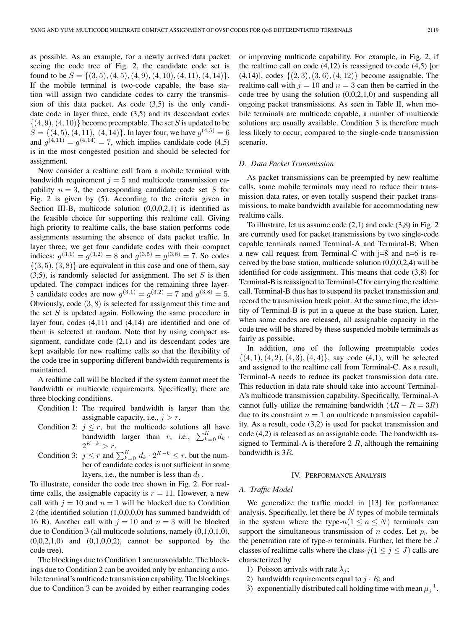as possible. As an example, for a newly arrived data packet seeing the code tree of Fig. 2, the candidate code set is found to be  $S = \{(3, 5), (4, 5), (4, 9), (4, 10), (4, 11), (4, 14)\}.$ If the mobile terminal is two-code capable, the base station will assign two candidate codes to carry the transmission of this data packet. As code (3,5) is the only candidate code in layer three, code (3,5) and its descendant codes  $\{(4, 9), (4, 10)\}\$ become preemptable. The set S is updated to be  $S = \{(4, 5), (4, 11), (4, 14)\}\$ . In layer four, we have  $g^{(4,5)} = 6$ and  $q^{(4,11)} = q^{(4,14)} = 7$ , which implies candidate code (4,5) is in the most congested position and should be selected for assignment.

Now consider a realtime call from a mobile terminal with bandwidth requirement  $j = 5$  and multicode transmission capability  $n = 3$ , the corresponding candidate code set S for Fig. 2 is given by (5). According to the criteria given in Section III-B, multicode solution  $(0,0,0,2,1)$  is identified as the feasible choice for supporting this realtime call. Giving high priority to realtime calls, the base station performs code assignments assuming the absence of data packet traffic. In layer three, we get four candidate codes with their compact indices:  $q^{(3,1)} = q^{(3,2)} = 8$  and  $q^{(3,5)} = q^{(3,8)} = 7$ . So codes  $\{(3, 5), (3, 8)\}\$ are equivalent in this case and one of them, say  $(3,5)$ , is randomly selected for assignment. The set S is then updated. The compact indices for the remaining three layer-3 candidate codes are now  $g^{(3,1)} = g^{(3,2)} = 7$  and  $g^{(3,8)} = 5$ . Obviously, code (3, 8) is selected for assignment this time and the set  $S$  is updated again. Following the same procedure in layer four, codes (4,11) and (4,14) are identified and one of them is selected at random. Note that by using compact assignment, candidate code (2,1) and its descendant codes are kept available for new realtime calls so that the flexibility of the code tree in supporting different bandwidth requirements is maintained.

A realtime call will be blocked if the system cannot meet the bandwidth or multicode requirements. Specifically, there are three blocking conditions.

- Condition 1: The required bandwidth is larger than the assignable capacity, i.e.,  $j > r$ .
- Condition 2:  $j \leq r$ , but the multicode solutions all have bandwidth larger than r, i.e.,  $\sum_{k=0}^{K} d_k$ .  $2^{K-k} > r$ .
- Condition 3:  $j \leq r$  and  $\sum_{k=0}^{K} d_k \cdot 2^{K-k} \leq r$ , but the number of candidate codes is not sufficient in some layers, i.e., the number is less than  $d_k$ .

To illustrate, consider the code tree shown in Fig. 2. For realtime calls, the assignable capacity is  $r = 11$ . However, a new call with  $j = 10$  and  $n = 1$  will be blocked due to Condition 2 (the identified solution (1,0,0,0,0) has summed bandwidth of 16 R). Another call with  $j = 10$  and  $n = 3$  will be blocked due to Condition 3 (all multicode solutions, namely (0,1,0,1,0),  $(0,0,2,1,0)$  and  $(0,1,0,0,2)$ , cannot be supported by the code tree).

The blockings due to Condition 1 are unavoidable. The blockings due to Condition 2 can be avoided only by enhancing a mobile terminal's multicode transmission capability. The blockings due to Condition 3 can be avoided by either rearranging codes or improving multicode capability. For example, in Fig. 2, if the realtime call on code  $(4,12)$  is reassigned to code  $(4,5)$  [or  $(4,14)$ ], codes  $\{(2,3), (3,6), (4,12)\}\)$  become assignable. The realtime call with  $j = 10$  and  $n = 3$  can then be carried in the code tree by using the solution  $(0,0,2,1,0)$  and suspending all ongoing packet transmissions. As seen in Table II, when mobile terminals are multicode capable, a number of multicode solutions are usually available. Condition 3 is therefore much less likely to occur, compared to the single-code transmission scenario.

#### *D. Data Packet Transmission*

As packet transmissions can be preempted by new realtime calls, some mobile terminals may need to reduce their transmission data rates, or even totally suspend their packet transmissions, to make bandwidth available for accommodating new realtime calls.

To illustrate, let us assume code  $(2,1)$  and code  $(3,8)$  in Fig. 2 are currently used for packet transmissions by two single-code capable terminals named Terminal-A and Terminal-B. When a new call request from Terminal-C with  $j=8$  and  $n=6$  is received by the base station, multicode solution  $(0,0,0,2,4)$  will be identified for code assignment. This means that code (3,8) for Terminal-B is reassigned to Terminal-C for carrying the realtime call. Terminal-B thus has to suspend its packet transmission and record the transmission break point. At the same time, the identity of Terminal-B is put in a queue at the base station. Later, when some codes are released, all assignable capacity in the code tree will be shared by these suspended mobile terminals as fairly as possible.

In addition, one of the following preemptable codes  $\{(4, 1), (4, 2), (4, 3), (4, 4)\}\$ , say code (4,1), will be selected and assigned to the realtime call from Terminal-C. As a result, Terminal-A needs to reduce its packet transmission data rate. This reduction in data rate should take into account Terminal-A's multicode transmission capability. Specifically, Terminal-A cannot fully utilize the remaining bandwidth  $(4R - R = 3R)$ due to its constraint  $n = 1$  on multicode transmission capability. As a result, code (3,2) is used for packet transmission and code (4,2) is released as an assignable code. The bandwidth assigned to Terminal-A is therefore  $2 R$ , although the remaining bandwidth is 3R.

#### IV. PERFORMANCE ANALYSIS

#### *A. Traffic Model*

We generalize the traffic model in [13] for performance analysis. Specifically, let there be  $N$  types of mobile terminals in the system where the type- $n(1 \le n \le N)$  terminals can support the simultaneous transmission of n codes. Let  $p_n$  be the penetration rate of type- $n$  terminals. Further, let there be  $J$ classes of realtime calls where the class- $j(1 \le j \le J)$  calls are characterized by

- 1) Poisson arrivals with rate  $\lambda_i$ ;
- 2) bandwidth requirements equal to  $j \cdot R$ ; and
- 3) exponentially distributed call holding time with mean  $\mu_j^{-1}$ .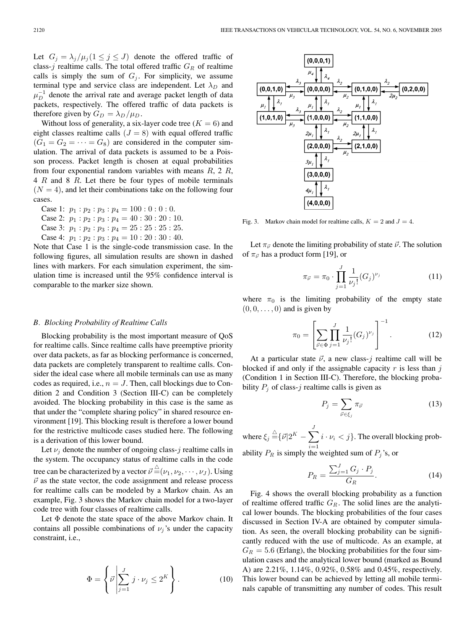Let  $G_j = \lambda_j / \mu_j (1 \leq j \leq J)$  denote the offered traffic of class-j realtime calls. The total offered traffic  $G_R$  of realtime calls is simply the sum of  $G_j$ . For simplicity, we assume terminal type and service class are independent. Let  $\lambda_D$  and  $\mu_D^{-1}$  denote the arrival rate and average packet length of data packets, respectively. The offered traffic of data packets is therefore given by  $G_D = \lambda_D / \mu_D$ .

Without loss of generality, a six-layer code tree  $(K = 6)$  and eight classes realtime calls  $(J = 8)$  with equal offered traffic  $(G_1 = G_2 = \cdots = G_8)$  are considered in the computer simulation. The arrival of data packets is assumed to be a Poisson process. Packet length is chosen at equal probabilities from four exponential random variables with means  $R$ , 2  $R$ , 4 R and 8 R. Let there be four types of mobile terminals  $(N = 4)$ , and let their combinations take on the following four cases.

Case 1:  $p_1 : p_2 : p_3 : p_4 = 100 : 0 : 0 : 0$ . Case 2:  $p_1 : p_2 : p_3 : p_4 = 40 : 30 : 20 : 10$ . Case 3:  $p_1 : p_2 : p_3 : p_4 = 25 : 25 : 25 : 25$ . Case 4:  $p_1 : p_2 : p_3 : p_4 = 10 : 20 : 30 : 40$ .

Note that Case 1 is the single-code transmission case. In the following figures, all simulation results are shown in dashed lines with markers. For each simulation experiment, the simulation time is increased until the 95% confidence interval is comparable to the marker size shown.

## *B. Blocking Probability of Realtime Calls*

Blocking probability is the most important measure of QoS for realtime calls. Since realtime calls have preemptive priority over data packets, as far as blocking performance is concerned, data packets are completely transparent to realtime calls. Consider the ideal case where all mobile terminals can use as many codes as required, i.e.,  $n = J$ . Then, call blockings due to Condition 2 and Condition 3 (Section III-C) can be completely avoided. The blocking probability in this case is the same as that under the "complete sharing policy" in shared resource environment [19]. This blocking result is therefore a lower bound for the restrictive multicode cases studied here. The following is a derivation of this lower bound.

Let  $\nu_i$  denote the number of ongoing class-j realtime calls in the system. The occupancy status of realtime calls in the code tree can be characterized by a vector  $\vec{\nu} \!\stackrel{\triangle}{=} \!\! (\nu_1, \nu_2, \cdots, \nu_J) .$  Using  $\vec{v}$  as the state vector, the code assignment and release process for realtime calls can be modeled by a Markov chain. As an example, Fig. 3 shows the Markov chain model for a two-layer code tree with four classes of realtime calls.

Let Φ denote the state space of the above Markov chain. It contains all possible combinations of  $\nu_i$ 's under the capacity constraint, i.e.,

$$
\Phi = \left\{ \vec{\nu} \middle| \sum_{j=1}^{J} j \cdot \nu_j \leq 2^K \right\}.
$$
 (10)



Fig. 3. Markov chain model for realtime calls,  $K = 2$  and  $J = 4$ .

Let  $\pi_{\vec{\nu}}$  denote the limiting probability of state  $\vec{\nu}$ . The solution of  $\pi_{\vec{\nu}}$  has a product form [19], or

$$
\pi_{\vec{\nu}} = \pi_0 \cdot \prod_{j=1}^{J} \frac{1}{\nu_j!} (G_j)^{\nu_j} \tag{11}
$$

where  $\pi_0$  is the limiting probability of the empty state  $(0, 0, \ldots, 0)$  and is given by

$$
\pi_0 = \left[ \sum_{\vec{\nu} \in \Phi} \prod_{j=1}^J \frac{1}{\nu_j!} (G_j)^{\nu_j} \right]^{-1}.
$$
 (12)

At a particular state  $\vec{v}$ , a new class-j realtime call will be blocked if and only if the assignable capacity  $r$  is less than  $j$ (Condition 1 in Section III-C). Therefore, the blocking probability  $P_i$  of class-j realtime calls is given as

$$
P_j = \sum_{\vec{\nu} \in \xi_j} \pi_{\vec{\nu}} \tag{13}
$$

where  $\xi_j \stackrel{\triangle}{=} \{ \vec{\nu} | 2^K - \sum \}$ J  $i=1$  $i \cdot \nu_i < j$ . The overall blocking probability  $P_R$  is simply the weighted sum of  $P_j$ 's, or

$$
P_R = \frac{\sum_{j=1}^{J} G_j \cdot P_j}{G_R}.
$$
\n(14)

Fig. 4 shows the overall blocking probability as a function of realtime offered traffic  $G_R$ . The solid lines are the analytical lower bounds. The blocking probabilities of the four cases discussed in Section IV-A are obtained by computer simulation. As seen, the overall blocking probability can be significantly reduced with the use of multicode. As an example, at  $G_R = 5.6$  (Erlang), the blocking probabilities for the four simulation cases and the analytical lower bound (marked as Bound A) are 2.21%, 1.14%, 0.92%, 0.58% and 0.45%, respectively. This lower bound can be achieved by letting all mobile terminals capable of transmitting any number of codes. This result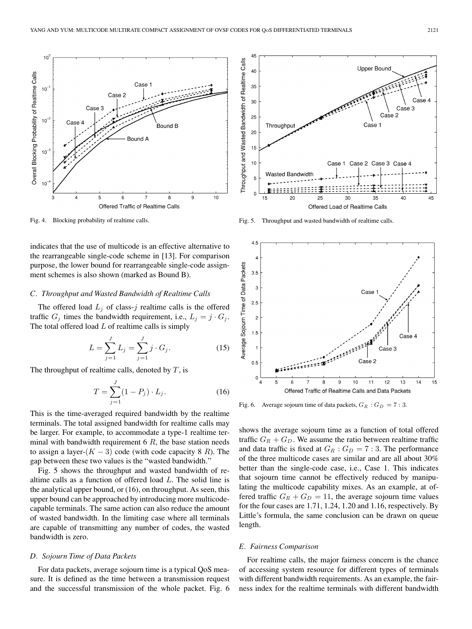

Fig. 4. Blocking probability of realtime calls.

indicates that the use of multicode is an effective alternative to the rearrangeable single-code scheme in [13]. For comparison purpose, the lower bound for rearrangeable single-code assignment schemes is also shown (marked as Bound B).

## *C. Throughput and Wasted Bandwidth of Realtime Calls*

The offered load  $L_j$  of class-j realtime calls is the offered traffic  $G_j$  times the bandwidth requirement, i.e.,  $L_j = j \cdot G_j$ . The total offered load  $L$  of realtime calls is simply

$$
L = \sum_{j=1}^{J} L_j = \sum_{j=1}^{J} j \cdot G_j.
$$
 (15)

The throughput of realtime calls, denoted by  $T$ , is

$$
T = \sum_{j=1}^{J} (1 - P_j) \cdot L_j.
$$
 (16)

This is the time-averaged required bandwidth by the realtime terminals. The total assigned bandwidth for realtime calls may be larger. For example, to accommodate a type-1 realtime terminal with bandwidth requirement  $6 R$ , the base station needs to assign a layer- $(K - 3)$  code (with code capacity 8 R). The gap between these two values is the "wasted bandwidth."

Fig. 5 shows the throughput and wasted bandwidth of realtime calls as a function of offered load L. The solid line is the analytical upper bound, or (16), on throughput. As seen, this upper bound can be approached by introducing more multicodecapable terminals. The same action can also reduce the amount of wasted bandwidth. In the limiting case where all terminals are capable of transmitting any number of codes, the wasted bandwidth is zero.

#### *D. Sojourn Time of Data Packets*

For data packets, average sojourn time is a typical QoS measure. It is defined as the time between a transmission request and the successful transmission of the whole packet. Fig. 6



Fig. 5. Throughput and wasted bandwidth of realtime calls.



Fig. 6. Average sojourn time of data packets,  $G_R : G_D = 7:3$ .

shows the average sojourn time as a function of total offered traffic  $G_R + G_D$ . We assume the ratio between realtime traffic and data traffic is fixed at  $G_R$ :  $G_D = 7:3$ . The performance of the three multicode cases are similar and are all about 30% better than the single-code case, i.e., Case 1. This indicates that sojourn time cannot be effectively reduced by manipulating the multicode capability mixes. As an example, at offered traffic  $G_R + G_D = 11$ , the average sojourn time values for the four cases are 1.71, 1.24, 1.20 and 1.16, respectively. By Little's formula, the same conclusion can be drawn on queue length.

## *E. Fairness Comparison*

For realtime calls, the major fairness concern is the chance of accessing system resource for different types of terminals with different bandwidth requirements. As an example, the fairness index for the realtime terminals with different bandwidth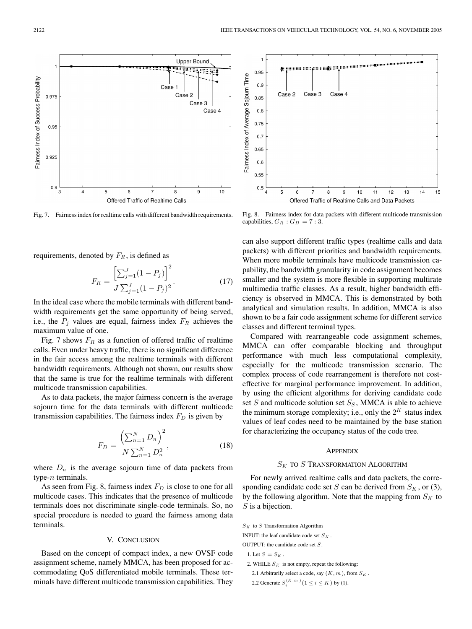

Fig. 7. Fairness index for realtime calls with different bandwidth requirements.

requirements, denoted by  $F_R$ , is defined as

$$
F_R = \frac{\left[\sum_{j=1}^{J} (1 - P_j)\right]^2}{J \sum_{j=1}^{J} (1 - P_j)^2}.
$$
\n(17)

In the ideal case where the mobile terminals with different bandwidth requirements get the same opportunity of being served, i.e., the  $P_j$  values are equal, fairness index  $F_R$  achieves the maximum value of one.

Fig. 7 shows  $F_R$  as a function of offered traffic of realtime calls. Even under heavy traffic, there is no significant difference in the fair access among the realtime terminals with different bandwidth requirements. Although not shown, our results show that the same is true for the realtime terminals with different multicode transmission capabilities.

As to data packets, the major fairness concern is the average sojourn time for the data terminals with different multicode transmission capabilities. The fairness index  $F<sub>D</sub>$  is given by

$$
F_D = \frac{\left(\sum_{n=1}^{N} D_n\right)^2}{N \sum_{n=1}^{N} D_n^2},\tag{18}
$$

where  $D_n$  is the average sojourn time of data packets from type- $n$  terminals.

As seen from Fig. 8, fairness index  $F_D$  is close to one for all multicode cases. This indicates that the presence of multicode terminals does not discriminate single-code terminals. So, no special procedure is needed to guard the fairness among data terminals.

## V. CONCLUSION

Based on the concept of compact index, a new OVSF code assignment scheme, namely MMCA, has been proposed for accommodating QoS differentiated mobile terminals. These terminals have different multicode transmission capabilities. They



Fig. 8. Fairness index for data packets with different multicode transmission capabilities,  $G_R : G_D = 7:3$ .

can also support different traffic types (realtime calls and data packets) with different priorities and bandwidth requirements. When more mobile terminals have multicode transmission capability, the bandwidth granularity in code assignment becomes smaller and the system is more flexible in supporting multirate multimedia traffic classes. As a result, higher bandwidth efficiency is observed in MMCA. This is demonstrated by both analytical and simulation results. In addition, MMCA is also shown to be a fair code assignment scheme for different service classes and different terminal types.

Compared with rearrangeable code assignment schemes, MMCA can offer comparable blocking and throughput performance with much less computational complexity, especially for the multicode transmission scenario. The complex process of code rearrangement is therefore not costeffective for marginal performance improvement. In addition, by using the efficient algorithms for deriving candidate code set  $S$  and multicode solution set  $S_S$ , MMCA is able to achieve the minimum storage complexity; i.e., only the  $2^{K}$  status index values of leaf codes need to be maintained by the base station for characterizing the occupancy status of the code tree.

#### **APPENDIX**

# $S_K$  to  $S$  Transformation Algorithm

For newly arrived realtime calls and data packets, the corresponding candidate code set S can be derived from  $S_K$ , or (3), by the following algorithm. Note that the mapping from  $S_K$  to S is a bijection.

INPUT: the leaf candidate code set  $S<sub>K</sub>$ .

OUTPUT: the candidate code set S.

- 1. Let  $S = S_K$ .
- 2. WHILE  $S_K$  is not empty, repeat the following:
- 2.1 Arbitrarily select a code, say  $(K, m)$ , from  $S_K$ .
- 2.2 Generate  $S_i^{(K, m)}$  ( $1 \le i \le K$ ) by (1).

 $S_K$  to S Transformation Algorithm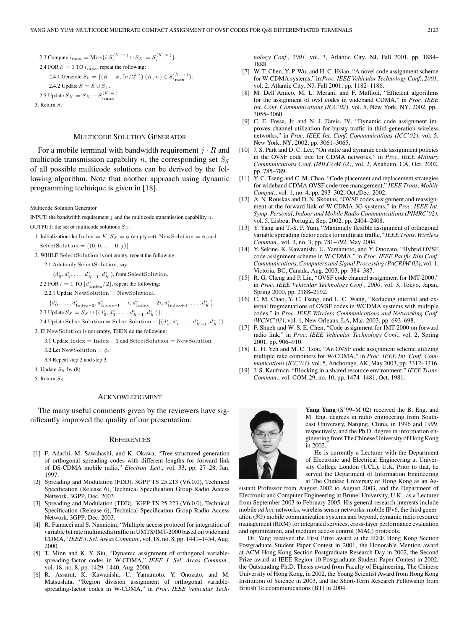\n- 2.3 Compute 
$$
i_{\max} = \text{Max}\{i|S_i^{(K,m)} \cap S_K = S_i^{(K,m)}\}
$$
.
\n- 2.4 FOR  $k = 1$  TO  $i_{\max}$ , repeat the following:\n
	\n- 2.4.1 Generate  $S_k = \{(K - k, \lceil n/2^k \rceil) | (K, n) \in S_{i_{\max}}^{(K,m)}\}$ .
	\n- 2.4.2 Update  $S = S \cup S_k$ .
	\n\n
\n- 2.5 Update  $S_K = S_K - S_{i_{\max}}^{(K,m)}$ .
\n- 3. Return  $S$ .
\n

## MULTICODE SOLUTION GENERATOR

For a mobile terminal with bandwidth requirement  $j \cdot R$  and multicode transmission capability n, the corresponding set  $S<sub>S</sub>$ of all possible multicode solutions can be derived by the following algorithm. Note that another approach using dynamic programming technique is given in [18].

Multicode Solution Generator

INPUT: the bandwidth requirement  $j$  and the multicode transmission capability  $n$ . OUTPUT: the set of multicode solutions  $S_S$ .

- 1. Initialization: let Index = K,  $S_S = \phi$  (empty set), NewSolution =  $\phi$ , and SelectSolution =  $\{(0, 0, \ldots, 0, j)\}.$
- 2. WHILE SelectSolution is not empty, repeat the following:

2.1 Arbitrarily SelectSolution, say

 $(d_0^*, d_1^*, \ldots, d_{K-1}^*, d_K^*)$ , from SelectSolution.

- 2.2 FOR  $i = 1$  TO  $\lfloor d_{\text{Index}}^*/2 \rfloor$ , repeat the following:
- 2.2.1 Update NewSolution = NewSolution∪

 ${d_0^*, \ldots, d_{\text{Index}-2}^*, d_{\text{Index}-1}^* + i, d_{\text{Index}}^* - 2i, d_{\text{Index}+1}^*, \ldots, d_K^*}.$ 2.3 Update  $S_S = S_S \cup \{(d_0^*, d_1^*, \ldots, d_{K-1}^*, d_K^*)\}.$ 

2.4 Update SelectSolution = SelectSolution -  $\{(d_0^*, d_1^*, \ldots, d_{K-1}^*, d_K^*)\}.$ 

3. IF NewSolution is not empty, THEN do the following:

3.1 Update Index = Index − 1 and SelectSolution = NewSolution.

3.2 Let NewSolution =  $\phi$ .

3.3 Repeat step 2 and step 3.

- 4. Update  $S_S$  by (8).
- 5. Return  $S_S$ .

#### ACKNOWLEDGMENT

The many useful comments given by the reviewers have significantly improved the quality of our presentation.

#### **REFERENCES**

- [1] F. Adachi, M. Sawahashi, and K. Okawa, "Tree-structured generation of orthogonal spreading codes with different lengths for forward link of DS-CDMA mobile radio," *Electron. Lett.*, vol. 33, pp. 27–28, Jan. 1997.
- [2] Spreading and Modulation (FDD). 3GPP TS 25.213 (V6.0.0), Technical Specification (Release 6), Technical Specification Group Radio Access Network, 3GPP, Dec. 2003.
- [3] Spreading and Modulation (TDD). 3GPP TS 25.223 (V6.0.0), Technical Specification (Release 6), Technical Specification Group Radio Access Network, 3GPP, Dec. 2003.
- [4] R. Fantacci and S. Nannicini, "Multiple access protocol for integration of variable bit rate multimedia traffic in UMTS/IMT-2000 based on wideband CDMA," *IEEE J. Sel. Areas Commun.*, vol. 18, no. 8, pp. 1441–1454, Aug. 2000.
- [5] T. Minn and K. Y. Siu, "Dynamic assignment of orthogonal variablespreading-factor codes in W-CDMA," *IEEE J. Sel. Areas Commun.*, vol. 18, no. 8, pp. 1429–1440, Aug. 2000.
- [6] R. Assarut, K. Kawanishi, U. Yamamoto, Y. Onozato, and M. Matsushita, "Region division assignment of orthogonal variablespreading-factor codes in W-CDMA," in *Proc. IEEE Vehicular Tech-*

*nology Conf., 2001*, vol. 3, Atlantic City, NJ, Fall 2001, pp. 1884– 1888.

- [7] W. T. Chen, Y. P. Wu, and H. C. Hsiao, "A novel code assignment scheme for W-CDMA systems," in *Proc. IEEE Vehicular Technology Conf., 2001*, vol. 2, Atlantic City, NJ, Fall 2001, pp. 1182–1186.
- [8] M. Dell'Amico, M. L. Merani, and F. Maffioli, "Efficient algorithms for the assignment of ovsf codes in wideband CDMA," in *Proc. IEEE Int. Conf. Communications (ICC'02)*, vol. 5, New York, NY, 2002, pp. 3055–3060.
- [9] C. E. Fossa, Jr. and N. J. Davis, IV, "Dynamic code assignment improves channel utilization for bursty traffic in third-generation wireless networks," in *Proc. IEEE Int. Conf. Communications (ICC'02)*, vol. 5, New York, NY, 2002, pp. 3061–3065.
- [10] J. S. Park and D. C. Lee, "On static and dynamic code assignment policies in the OVSF code tree for CDMA networks," in *Proc. IEEE Military Communications Conf. (MILCOM'02)*, vol. 2, Anaheim, CA, Oct. 2002, pp. 785–789.
- [11] Y. C. Tseng and C. M. Chao, "Code placement and replacement strategies for wideband CDMA OVSF code tree management," *IEEE Trans. Mobile Comput.*, vol. 1, no. 4, pp. 293–302, Oct./Dec. 2002.
- [12] A. N. Rouskas and D. N. Skoutas, "OVSF codes assignment and reassignment at the forward link of W-CDMA 3G systems," in *Proc. IEEE Int. Symp. Personal, Indoor and Mobile Radio Communications (PIMRC'02)*, vol. 5, Lisboa, Portugal, Sep. 2002, pp. 2404–2408.
- [13] Y. Yang and T.-S. P. Yum, "Maximally flexible assignment of orthogonal variable spreading factor codes for multirate traffic," *IEEE Trans. Wireless Commun.*, vol. 3, no. 3, pp. 781–792, May 2004.
- [14] Y. Sekine, K. Kawanishi, U. Yamamoto, and Y. Onozato, "Hybrid OVSF code assignment scheme in W-CDMA," in *Proc. IEEE Pacific Rim Conf. Communications, Computers and Signal Processing (PACRIM'03)*, vol. 1, Victoria, BC, Canada, Aug. 2003, pp. 384–387.
- [15] R. G. Cheng and P. Lin, "OVSF code channel assignment for IMT-2000," in *Proc. IEEE Vehicular Technology Conf., 2000*, vol. 3, Tokyo, Japan, Spring 2000, pp. 2188–2192.
- [16] C. M. Chao, Y. C. Tseng, and L. C. Wang, "Reducing internal and external fragmentations of OVSF codes in WCDMA systems with multiple codes," in *Proc. IEEE Wireless Communications and Networking Conf. (WCNC'03)*, vol. 1, New Orleans, LA, Mar. 2003, pp. 693–698.
- [17] F. Shueh and W. S. E. Chen, "Code assignment for IMT-2000 on forward radio link," in *Proc. IEEE Vehicular Technology Conf.*, vol. 2, Spring 2001, pp. 906–910.
- [18] L. H. Yen and M. C. Tsou, "An OVSF code assignment scheme utilizing multiple rake combiners for W-CDMA," in *Proc. IEEE Int. Conf. Communications (ICC'03)*, vol. 5, Anchorage, AK, May 2003, pp. 3312–3316.
- [19] J. S. Kaufman, "Blocking in a shared resource environment," *IEEE Trans. Commun.*, vol. COM-29, no. 10, pp. 1474–1481, Oct. 1981.



**Yang Yang** (S'99–M'02) received the B. Eng. and M. Eng. degrees in radio engineering from Southeast University, Nanjing, China, in 1996 and 1999, respectively, and the Ph.D. degree in information engineering from The Chinese University of Hong Kong in 2002.

He is currently a Lecturer with the Department of Electronic and Electrical Engineering at University College London (UCL), U.K. Prior to that, he served the Department of Information Engineering at The Chinese University of Hong Kong as an As-

sistant Professor from August 2002 to August 2003, and the Department of Electronic and Computer Engineering at Brunel University, U.K., as a Lecturer from September 2003 to February 2005. His general research interests include mobile *ad hoc* networks, wireless sensor networks, mobile IPv6, the third generation (3G) mobile communication systems and beyond, dynamic radio resource management (RRM) for integrated services, cross-layer performance evaluation and optimization, and medium access control (MAC) protocols.

Dr. Yang received the First Prize award at the IEEE Hong Kong Section Postgraduate Student Paper Contest in 2001, the Honorable Mention award at ACM Hong Kong Section Postgraduate Research Day in 2002, the Second Prize award at IEEE Region 10 Postgraduate Student Paper Contest in 2002, the Outstanding Ph.D. Thesis award from Faculty of Engineering, The Chinese University of Hong Kong, in 2002, the Young Scientist Award from Hong Kong Institution of Science in 2003, and the Short-Term Research Fellowship from British Telecommunications (BT) in 2004.